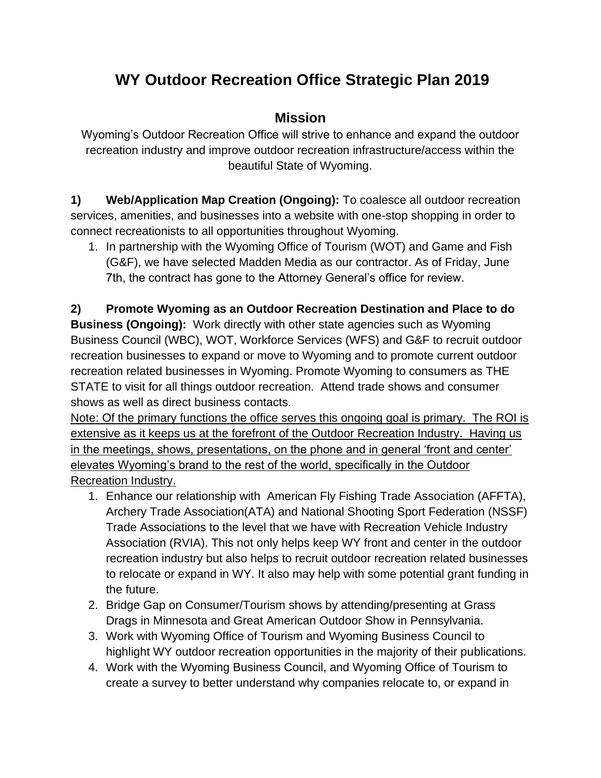## **WY Outdoor Recreation Office Strategic Plan 2019**

## **Mission**

Wyoming's Outdoor Recreation Office will strive to enhance and expand the outdoor recreation industry and improve outdoor recreation infrastructure/access within the beautiful State of Wyoming.

**1) Web/Application Map Creation (Ongoing):** To coalesce all outdoor recreation services, amenities, and businesses into a website with one-stop shopping in order to connect recreationists to all opportunities throughout Wyoming.

1. In partnership with the Wyoming Office of Tourism (WOT) and Game and Fish (G&F), we have selected Madden Media as our contractor. As of Friday, June 7th, the contract has gone to the Attorney General's office for review.

**2) Promote Wyoming as an Outdoor Recreation Destination and Place to do Business (Ongoing):** Work directly with other state agencies such as Wyoming Business Council (WBC), WOT, Workforce Services (WFS) and G&F to recruit outdoor recreation businesses to expand or move to Wyoming and to promote current outdoor recreation related businesses in Wyoming. Promote Wyoming to consumers as THE STATE to visit for all things outdoor recreation. Attend trade shows and consumer shows as well as direct business contacts.

Note: Of the primary functions the office serves this ongoing goal is primary. The ROI is extensive as it keeps us at the forefront of the Outdoor Recreation Industry. Having us in the meetings, shows, presentations, on the phone and in general 'front and center' elevates Wyoming's brand to the rest of the world, specifically in the Outdoor Recreation Industry.

- 1. Enhance our relationship with American Fly Fishing Trade Association (AFFTA), Archery Trade Association(ATA) and National Shooting Sport Federation (NSSF) Trade Associations to the level that we have with Recreation Vehicle Industry Association (RVIA). This not only helps keep WY front and center in the outdoor recreation industry but also helps to recruit outdoor recreation related businesses to relocate or expand in WY. It also may help with some potential grant funding in the future.
- 2. Bridge Gap on Consumer/Tourism shows by attending/presenting at Grass Drags in Minnesota and Great American Outdoor Show in Pennsylvania.
- 3. Work with Wyoming Office of Tourism and Wyoming Business Council to highlight WY outdoor recreation opportunities in the majority of their publications.
- 4. Work with the Wyoming Business Council, and Wyoming Office of Tourism to create a survey to better understand why companies relocate to, or expand in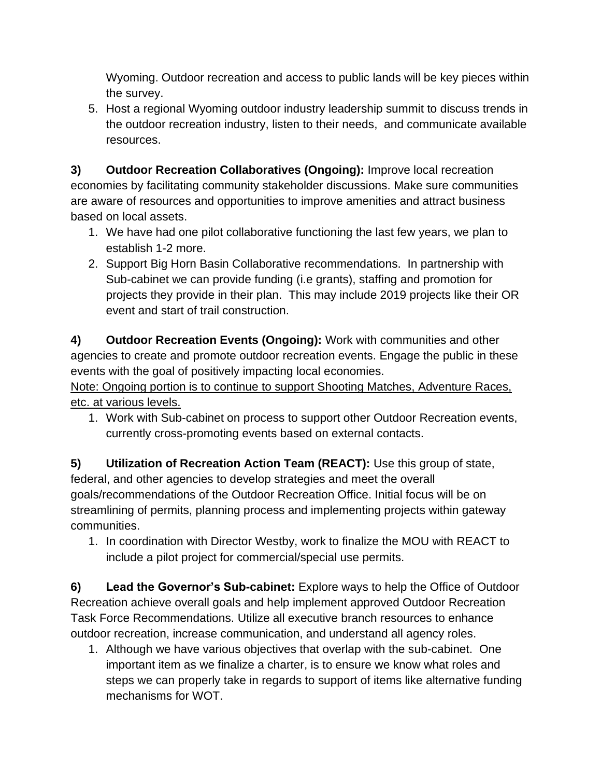Wyoming. Outdoor recreation and access to public lands will be key pieces within the survey.

5. Host a regional Wyoming outdoor industry leadership summit to discuss trends in the outdoor recreation industry, listen to their needs, and communicate available resources.

**3) Outdoor Recreation Collaboratives (Ongoing):** Improve local recreation economies by facilitating community stakeholder discussions. Make sure communities are aware of resources and opportunities to improve amenities and attract business based on local assets.

- 1. We have had one pilot collaborative functioning the last few years, we plan to establish 1-2 more.
- 2. Support Big Horn Basin Collaborative recommendations. In partnership with Sub-cabinet we can provide funding (i.e grants), staffing and promotion for projects they provide in their plan. This may include 2019 projects like their OR event and start of trail construction.

**4) Outdoor Recreation Events (Ongoing):** Work with communities and other agencies to create and promote outdoor recreation events. Engage the public in these events with the goal of positively impacting local economies.

Note: Ongoing portion is to continue to support Shooting Matches, Adventure Races, etc. at various levels.

1. Work with Sub-cabinet on process to support other Outdoor Recreation events, currently cross-promoting events based on external contacts.

**5) Utilization of Recreation Action Team (REACT):** Use this group of state, federal, and other agencies to develop strategies and meet the overall goals/recommendations of the Outdoor Recreation Office. Initial focus will be on streamlining of permits, planning process and implementing projects within gateway communities.

1. In coordination with Director Westby, work to finalize the MOU with REACT to include a pilot project for commercial/special use permits.

**6) Lead the Governor's Sub-cabinet:** Explore ways to help the Office of Outdoor Recreation achieve overall goals and help implement approved Outdoor Recreation Task Force Recommendations. Utilize all executive branch resources to enhance outdoor recreation, increase communication, and understand all agency roles.

1. Although we have various objectives that overlap with the sub-cabinet. One important item as we finalize a charter, is to ensure we know what roles and steps we can properly take in regards to support of items like alternative funding mechanisms for WOT.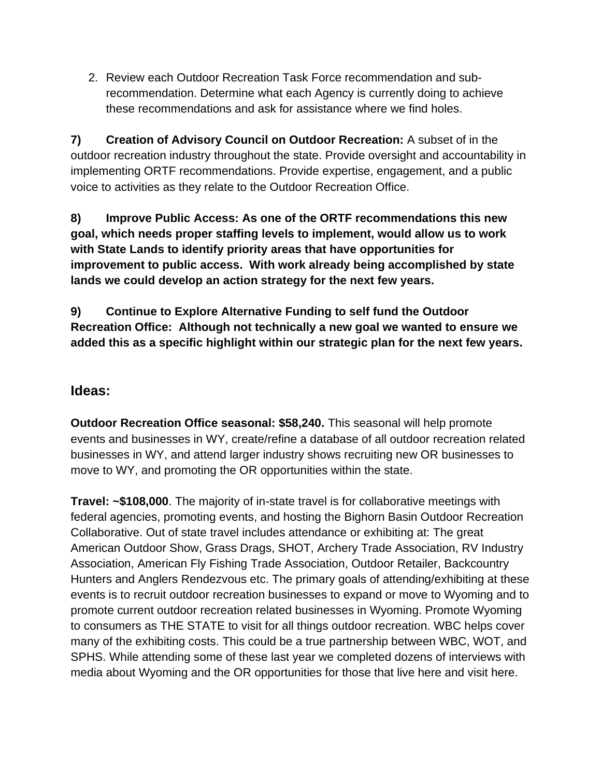2. Review each Outdoor Recreation Task Force recommendation and subrecommendation. Determine what each Agency is currently doing to achieve these recommendations and ask for assistance where we find holes.

**7) Creation of Advisory Council on Outdoor Recreation:** A subset of in the outdoor recreation industry throughout the state. Provide oversight and accountability in implementing ORTF recommendations. Provide expertise, engagement, and a public voice to activities as they relate to the Outdoor Recreation Office.

**8) Improve Public Access: As one of the ORTF recommendations this new goal, which needs proper staffing levels to implement, would allow us to work with State Lands to identify priority areas that have opportunities for improvement to public access. With work already being accomplished by state lands we could develop an action strategy for the next few years.** 

**9) Continue to Explore Alternative Funding to self fund the Outdoor Recreation Office: Although not technically a new goal we wanted to ensure we added this as a specific highlight within our strategic plan for the next few years.** 

## **Ideas:**

**Outdoor Recreation Office seasonal: \$58,240.** This seasonal will help promote events and businesses in WY, create/refine a database of all outdoor recreation related businesses in WY, and attend larger industry shows recruiting new OR businesses to move to WY, and promoting the OR opportunities within the state.

**Travel: ~\$108,000**. The majority of in-state travel is for collaborative meetings with federal agencies, promoting events, and hosting the Bighorn Basin Outdoor Recreation Collaborative. Out of state travel includes attendance or exhibiting at: The great American Outdoor Show, Grass Drags, SHOT, Archery Trade Association, RV Industry Association, American Fly Fishing Trade Association, Outdoor Retailer, Backcountry Hunters and Anglers Rendezvous etc. The primary goals of attending/exhibiting at these events is to recruit outdoor recreation businesses to expand or move to Wyoming and to promote current outdoor recreation related businesses in Wyoming. Promote Wyoming to consumers as THE STATE to visit for all things outdoor recreation. WBC helps cover many of the exhibiting costs. This could be a true partnership between WBC, WOT, and SPHS. While attending some of these last year we completed dozens of interviews with media about Wyoming and the OR opportunities for those that live here and visit here.